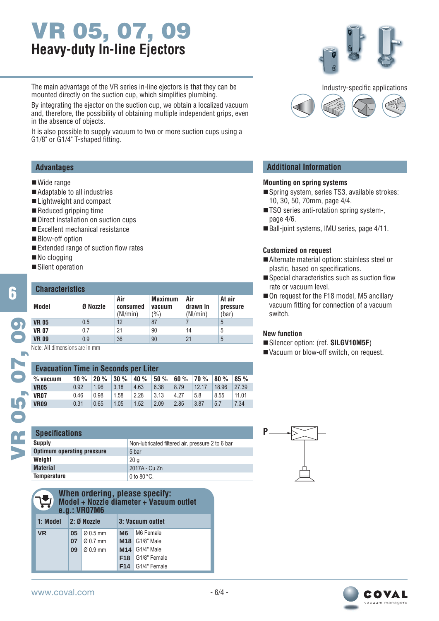# **VR 05, 07, 09 Heavy-duty In-line Ejectors**

The main advantage of the VR series in-line ejectors is that they can be mounted directly on the suction cup, which simplifies plumbing.

By integrating the ejector on the suction cup, we obtain a localized vacuum and, therefore, the possibility of obtaining multiple independent grips, even in the absence of objects.

It is also possible to supply vacuum to two or more suction cups using a G1/8" or G1/4" T-shaped fitting.

#### **Advantages**

#### ■ Wide range

- Adaptable to all industries
- Lightweight and compact
- Reduced gripping time
- Direct installation on suction cups
- Excellent mechanical resistance
- **Blow-off option**
- $\blacksquare$  Extended range of suction flow rates
- No clogging
- Silent operation

#### **VR 05** 0.5 12 87 7 5 **VR 07**  $\begin{array}{|c|c|c|c|c|} \hline 0.7 & 21 & 90 & 14 & 5 \ \hline \end{array}$ **VR 09** 0.9 36 90 21 5 12 87 7 21 | 90 | 14 36 90 21 **Characteristics Model Ø Nozzle Air consumed** (Nl/min) **Maximum vacuum**  $(%)$ **Air drawn in** (Nl/min) **At air pressure** (bar)

Note: All dimensions are in mm

| <b>Evacuation Time in Seconds per Liter</b> |      |      |      |      |      |      |       |       |       |  |
|---------------------------------------------|------|------|------|------|------|------|-------|-------|-------|--|
| $%$ vacuum                                  | 10%  | 20%  | 30%  | 40%  | 50%  | 60%  | 70%   | 80%   | 85%   |  |
| <b>VR05</b>                                 | 0.92 | 1.96 | 3.18 | 4.63 | 6.38 | 8.79 | 12.17 | 18.96 | 27.39 |  |
| <b>VR07</b>                                 | 0.46 | 0.98 | 1.58 | 2.28 | 3.13 | 4.27 | 5.8   | 8.55  | 11.01 |  |
| <b>VR09</b>                                 | 0.31 | 0.65 | 1.05 | 1.52 | 2.09 | 2.85 | 3.87  | 5.7   | 7.34  |  |

| <b>Specifications</b>             |                                                  |
|-----------------------------------|--------------------------------------------------|
| <b>Supply</b>                     | Non-lubricated filtered air, pressure 2 to 6 bar |
| <b>Optimum operating pressure</b> | 5 bar                                            |
| Weight                            | 20 a                                             |
| <b>Material</b>                   | 2017A - Cu Zn                                    |
| <b>Temperature</b>                | 0 to $80^{\circ}$ C.                             |

|  | When ordering, please specify:<br>Model + Nozzle diameter + Vacuum outlet<br>e.g.: VR07M6 |                 |                         |     |                    |  |  |  |  |  |
|--|-------------------------------------------------------------------------------------------|-----------------|-------------------------|-----|--------------------|--|--|--|--|--|
|  | 1: Model<br>$ 2: \emptyset$ Nozzle                                                        |                 |                         |     | 3: Vacuum outlet   |  |  |  |  |  |
|  | <b>VR</b>                                                                                 | 05 <sub>1</sub> | $\varnothing$ 0.5 mm    | M6  | M6 Female          |  |  |  |  |  |
|  |                                                                                           |                 | 07 $\varnothing$ 0.7 mm |     | $M18$ G1/8" Male   |  |  |  |  |  |
|  |                                                                                           | 09              | $\varnothing$ 0.9 mm    | M14 | G1/4" Male         |  |  |  |  |  |
|  |                                                                                           |                 |                         |     | $F18$ G1/8" Female |  |  |  |  |  |
|  |                                                                                           |                 |                         |     | $F14$ G1/4" Female |  |  |  |  |  |





### **Additional Information**

#### **Mounting on spring systems**

- Spring system, series TS3, available strokes: 10, 30, 50, 70mm, page 4/4.
- TSO series anti-rotation spring system-, page 4/6.
- Ball-joint systems, IMU series, page 4/11.

#### **Customized on request**

- Alternate material option: stainless steel or plastic, based on specifications.
- $\blacksquare$  Special characteristics such as suction flow rate or vacuum level.
- On request for the F18 model, M5 ancillary vacuum fitting for connection of a vacuum switch.

#### **New function**

- Silencer option: (ref. **SILGV10M5F**)
- Vacuum or blow-off switch, on request.



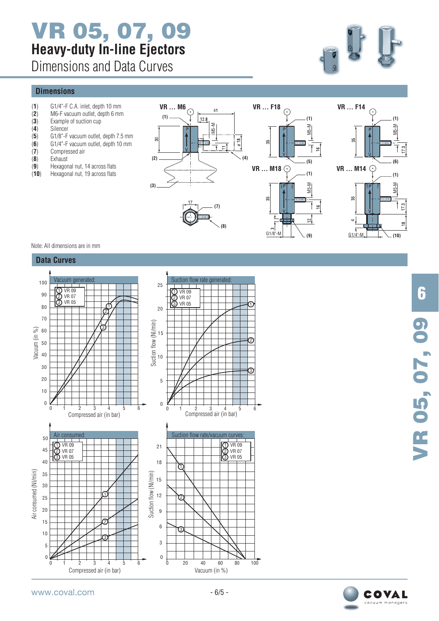# **VR 05, 07, 09 Heavy-duty In-line Ejectors**

Dimensions and Data Curves

### **Dimensions**

- (**1**) G1/4"-F C.A. inlet, depth 10 mm
- (**2**) M6-F vacuum outlet, depth 6 mm
- (**3**) Example of suction cup (**4**) Silencer
- (**5**) G1/8"-F vacuum outlet, depth 7.5 mm
- (**6**) G1/4"-F vacuum outlet, depth 10 mm
- (**7**) Compressed air
- 
- (**8**) Exhaust
- (9) Hexagonal nut, 14 across flats<br>(**10**) Hexagonal nut, 19 across flats Hexagonal nut, 19 across flats





**(9)**

 $\approx$ 

**(1)**

M5-M

**(1)**

M5-M

**(5)**

 $\leq$ 

 $\subseteq$ 

#### Note: All dimensions are in mm



**6** VR 05, 07, 09 **VR 05, 07, 09**

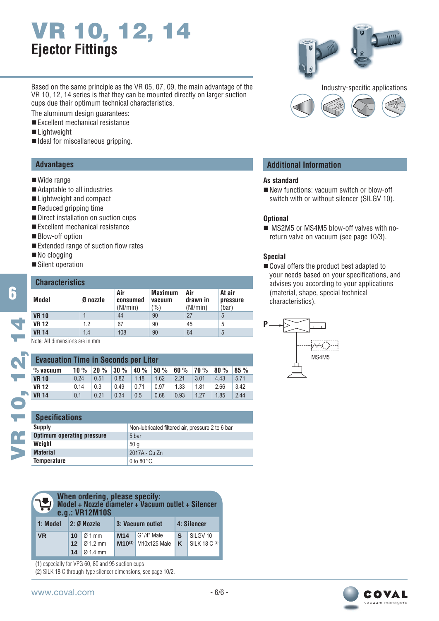# **VR 10, 12, 14 Ejector Fittings**

Based on the same principle as the VR 05, 07, 09, the main advantage of the VR 10, 12, 14 series is that they can be mounted directly on larger suction cups due their optimum technical characteristics.

The aluminum design guarantees:

- Excellent mechanical resistance
- ■Lightweight
- $\blacksquare$  Ideal for miscellaneous gripping.

#### **Advantages**

- Wide range
- Adaptable to all industries
- Lightweight and compact
- Reduced gripping time
- Direct installation on suction cups
- Excellent mechanical resistance
- **Blow-off option**
- $\blacksquare$  Extended range of suction flow rates
- No clogging
- Silent operation

# **Characteristics**

| <b>Gildragieristics</b> |          |     |                                 |                             |                             |  |  |  |  |
|-------------------------|----------|-----|---------------------------------|-----------------------------|-----------------------------|--|--|--|--|
| Model                   | Ø nozzle |     | <b>Maximum</b><br>vacuum<br>(%) | Air<br>drawn in<br>(Nl/min) | At air<br>pressure<br>(bar) |  |  |  |  |
| <b>VR 10</b>            |          | 44  | 90                              | 27                          | 5                           |  |  |  |  |
| <b>VR 12</b>            | 1.2      | 67  | 90                              | 45                          | 5                           |  |  |  |  |
| <b>VR 14</b>            | 1.4      | 108 | 90                              | 64                          | 5                           |  |  |  |  |

Note: All dimensions are in mm

| <b>Evacuation Time in Seconds per Liter</b> |        |      |      |         |      |      |             |      |      |
|---------------------------------------------|--------|------|------|---------|------|------|-------------|------|------|
| $%$ vacuum                                  | 10 $%$ | 20%  | 30%  | 40 $\%$ | 50%  | 60%  | <b>70</b> % | 80%  | 85%  |
| <b>VR 10</b>                                | 0.24   | 0.51 | 0.82 | 1.18    | 1.62 | 2.21 | 3.01        | 4.43 | 5.71 |
| <b>VR 12</b>                                | 0.14   | 0.3  | 0.49 | 0.71    | 0.97 | 1.33 | 1.81        | 2.66 | 3.42 |
| <b>VR 14</b>                                | 0.1    | 0.21 | 0.34 | 0.5     | 0.68 | 0.93 | 1.27        | 1.85 | 2.44 |

| <b>Specifications</b>             |                                                  |
|-----------------------------------|--------------------------------------------------|
| Supply                            | Non-lubricated filtered air, pressure 2 to 6 bar |
| <b>Optimum operating pressure</b> | 5 bar                                            |
| Weight                            | 50q                                              |
| <b>Material</b>                   | 2017A - Cu Zn                                    |
| <b>Temperature</b>                | 0 to $80^{\circ}$ C.                             |

| When ordering, please specify:<br>$\mathbf{L}$<br>Model + Nozzle diameter + Vacuum outlet + Silencer<br>e.g.: VR12M10S |                             |                                                     |                 |                                        |             |                                      |  |
|------------------------------------------------------------------------------------------------------------------------|-----------------------------|-----------------------------------------------------|-----------------|----------------------------------------|-------------|--------------------------------------|--|
| 1: Model                                                                                                               | $2: 0$ Nozzle               |                                                     |                 | 3: Vacuum outlet                       | 4: Silencer |                                      |  |
| <b>VR</b>                                                                                                              | 10<br>12 <sup>2</sup><br>14 | $\varnothing$ 1 mm<br>$\sqrt{012}$ mm<br>$Q$ 1.4 mm | M <sub>14</sub> | G1/4" Male<br>$M10^{(1)}$ M10x125 Male | S<br>K      | SILGV <sub>10</sub><br>SILK 18 C (2) |  |

(1) especially for VPG 60, 80 and 95 suction cups

(2) SILK 18 C through-type silencer dimensions, see page 10/2.



#### **Additional Information**

#### **As standard**

New functions: vacuum switch or blow-off switch with or without silencer (SILGV 10).

#### **Optional**

 MS2M5 or MS4M5 blow-off valves with noreturn valve on vacuum (see page 10/3).

#### **Special**

Coval offers the product best adapted to your needs based on your specifications, and advises you according to your applications (material, shape, special technical characteristics).





**6**